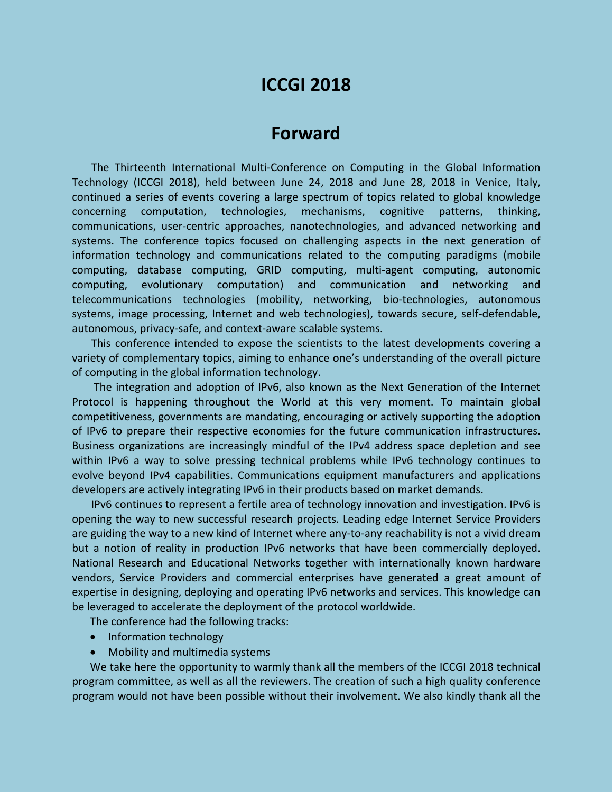# **ICCGI 2018**

## **Forward**

The Thirteenth International Multi-Conference on Computing in the Global Information Technology (ICCGI 2018), held between June 24, 2018 and June 28, 2018 in Venice, Italy, continued a series of events covering a large spectrum of topics related to global knowledge concerning computation, technologies, mechanisms, cognitive patterns, thinking, communications, user-centric approaches, nanotechnologies, and advanced networking and systems. The conference topics focused on challenging aspects in the next generation of information technology and communications related to the computing paradigms (mobile computing, database computing, GRID computing, multi-agent computing, autonomic computing, evolutionary computation) and communication and networking and telecommunications technologies (mobility, networking, bio-technologies, autonomous systems, image processing, Internet and web technologies), towards secure, self-defendable, autonomous, privacy-safe, and context-aware scalable systems.

This conference intended to expose the scientists to the latest developments covering a variety of complementary topics, aiming to enhance one's understanding of the overall picture of computing in the global information technology.

The integration and adoption of IPv6, also known as the Next Generation of the Internet Protocol is happening throughout the World at this very moment. To maintain global competitiveness, governments are mandating, encouraging or actively supporting the adoption of IPv6 to prepare their respective economies for the future communication infrastructures. Business organizations are increasingly mindful of the IPv4 address space depletion and see within IPv6 a way to solve pressing technical problems while IPv6 technology continues to evolve beyond IPv4 capabilities. Communications equipment manufacturers and applications developers are actively integrating IPv6 in their products based on market demands.

IPv6 continues to represent a fertile area of technology innovation and investigation. IPv6 is opening the way to new successful research projects. Leading edge Internet Service Providers are guiding the way to a new kind of Internet where any-to-any reachability is not a vivid dream but a notion of reality in production IPv6 networks that have been commercially deployed. National Research and Educational Networks together with internationally known hardware vendors, Service Providers and commercial enterprises have generated a great amount of expertise in designing, deploying and operating IPv6 networks and services. This knowledge can be leveraged to accelerate the deployment of the protocol worldwide.

The conference had the following tracks:

- Information technology
- Mobility and multimedia systems

We take here the opportunity to warmly thank all the members of the ICCGI 2018 technical program committee, as well as all the reviewers. The creation of such a high quality conference program would not have been possible without their involvement. We also kindly thank all the